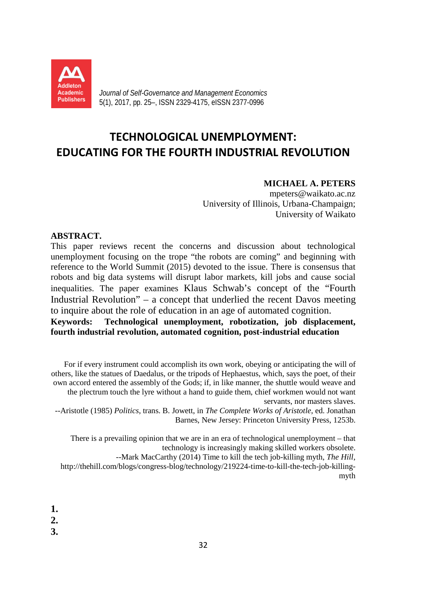

*Journal of Self-Governance and Management Economics* 5(1), 2017, pp. 25–, ISSN 2329-4175, eISSN 2377-0996

# **TECHNOLOGICAL UNEMPLOYMENT: EDUCATING FOR THE FOURTH INDUSTRIAL REVOLUTION**

# **MICHAEL A. PETERS**

mpeters@waikato.ac.nz University of Illinois, Urbana-Champaign; University of Waikato

### **ABSTRACT.**

This paper reviews recent the concerns and discussion about technological unemployment focusing on the trope "the robots are coming" and beginning with reference to the World Summit (2015) devoted to the issue. There is consensus that robots and big data systems will disrupt labor markets, kill jobs and cause social inequalities. The paper examines Klaus Schwab's concept of the "Fourth Industrial Revolution" – a concept that underlied the recent Davos meeting to inquire about the role of education in an age of automated cognition. **Keywords: Technological unemployment, robotization, job displacement,** 

**fourth industrial revolution, automated cognition, post-industrial education**

For if every instrument could accomplish its own work, obeying or anticipating the will of others, like the statues of Daedalus, or the tripods of Hephaestus, which, says the poet, of their own accord entered the assembly of the Gods; if, in like manner, the shuttle would weave and the plectrum touch the lyre without a hand to guide them, chief workmen would not want servants, nor masters slaves. --Aristotle (1985) *Politics*, trans. B. Jowett, in *The Complete Works of Aristotle*, ed. Jonathan

Barnes, New Jersey: Princeton University Press, 1253b.

There is a prevailing opinion that we are in an era of technological unemployment – that technology is increasingly making skilled workers obsolete. --Mark MacCarthy (2014) Time to kill the tech job-killing myth, *The Hill*, [http://thehill.com/blogs/congress-blog/technology/219224-time-to-kill-the-tech-job-killing](http://thehill.com/blogs/congress-blog/technology/219224-time-to-kill-the-tech-job-killing-myth)[myth](http://thehill.com/blogs/congress-blog/technology/219224-time-to-kill-the-tech-job-killing-myth)

**1.**

**2.**

**3.**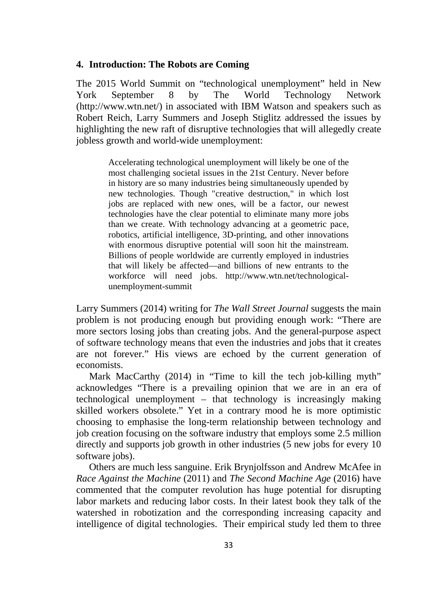#### **4. Introduction: The Robots are Coming**

The 2015 World Summit on "technological unemployment" held in New York September 8 by The World Technology Network [\(http://www.wtn.net/\)](http://www.wtn.net/) in associated with IBM Watson and speakers such as Robert Reich, Larry Summers and Joseph Stiglitz addressed the issues by highlighting the new raft of disruptive technologies that will allegedly create jobless growth and world-wide unemployment:

> Accelerating technological unemployment will likely be one of the most challenging societal issues in the 21st Century. Never before in history are so many industries being simultaneously upended by new technologies. Though "creative destruction," in which lost jobs are replaced with new ones, will be a factor, our newest technologies have the clear potential to eliminate many more jobs than we create. With technology advancing at a geometric pace, robotics, artificial intelligence, 3D-printing, and other innovations with enormous disruptive potential will soon hit the mainstream. Billions of people worldwide are currently employed in industries that will likely be affected—and billions of new entrants to the workforce will need jobs. [http://www.wtn.net/technological](http://www.wtn.net/technological-unemployment-summit)[unemployment-summit](http://www.wtn.net/technological-unemployment-summit)

Larry Summers (2014) writing for *The Wall Street Journal* suggests the main problem is not producing enough but providing enough work: "There are more sectors losing jobs than creating jobs. And the general-purpose aspect of software technology means that even the industries and jobs that it creates are not forever." His views are echoed by the current generation of economists.

Mark MacCarthy (2014) in "Time to kill the tech job-killing myth" acknowledges "There is a prevailing opinion that we are in an era of technological unemployment – that technology is increasingly making skilled workers obsolete." Yet in a contrary mood he is more optimistic choosing to emphasise the long-term relationship between technology and job creation focusing on the software industry that employs some 2.5 million directly and supports job growth in other industries (5 new jobs for every 10 software jobs).

Others are much less sanguine. Erik Brynjolfsson and Andrew McAfee in *Race Against the Machine* (2011) and *The Second Machine Age* (2016) have commented that the computer revolution has huge potential for disrupting labor markets and reducing labor costs. In their latest book they talk of the watershed in robotization and the corresponding increasing capacity and intelligence of digital technologies. Their empirical study led them to three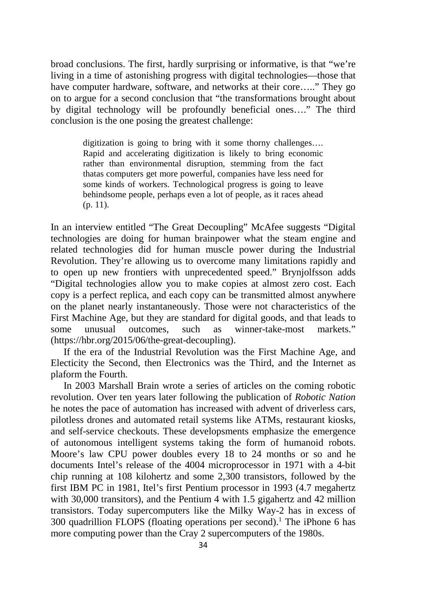broad conclusions. The first, hardly surprising or informative, is that "we're living in a time of astonishing progress with digital technologies—those that have computer hardware, software, and networks at their core….." They go on to argue for a second conclusion that "the transformations brought about by digital technology will be profoundly beneficial ones…." The third conclusion is the one posing the greatest challenge:

> digitization is going to bring with it some thorny challenges…. Rapid and accelerating digitization is likely to bring economic rather than environmental disruption, stemming from the fact thatas computers get more powerful, companies have less need for some kinds of workers. Technological progress is going to leave behindsome people, perhaps even a lot of people, as it races ahead (p. 11).

In an interview entitled "The Great Decoupling" McAfee suggests "Digital technologies are doing for human brainpower what the steam engine and related technologies did for human muscle power during the Industrial Revolution. They're allowing us to overcome many limitations rapidly and to open up new frontiers with unprecedented speed." Brynjolfsson adds "Digital technologies allow you to make copies at almost zero cost. Each copy is a perfect replica, and each copy can be transmitted almost anywhere on the planet nearly instantaneously. Those were not characteristics of the First Machine Age, but they are standard for digital goods, and that leads to some unusual outcomes, such as winner-take-most markets." [\(https://hbr.org/2015/06/the-great-decoupling\)](https://hbr.org/2015/06/the-great-decoupling).

If the era of the Industrial Revolution was the First Machine Age, and Electicity the Second, then Electronics was the Third, and the Internet as plaform the Fourth.

In 2003 Marshall Brain wrote a series of articles on the coming robotic revolution. Over ten years later following the publication of *Robotic Nation*  he notes the pace of automation has increased with advent of driverless cars, pilotless drones and automated retail systems like ATMs, restaurant kiosks, and self-service checkouts. These developsments emphasize the emergence of autonomous intelligent systems taking the form of humanoid robots. Moore's law CPU power doubles every 18 to 24 months or so and he documents Intel's release of the 4004 microprocessor in 1971 with a 4-bit chip running at 108 kilohertz and some 2,300 transistors, followed by the first IBM PC in 1981, Itel's first Pentium processor in 1993 (4.7 megahertz with 30,000 transitors), and the Pentium 4 with 1.5 gigahertz and 42 million transistors. Today supercomputers like the Milky Way-2 has in excess of  $300$  quadrillion FLOPS (floating operations per second).<sup>1</sup> The iPhone 6 has more computing power than the Cray 2 supercomputers of the 1980s.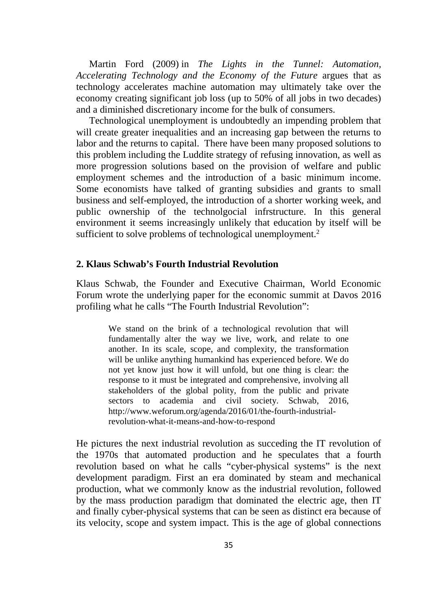Martin Ford (2009) in *The Lights in the Tunnel: Automation, Accelerating Technology and the Economy of the Future* argues that as technology accelerates machine automation may ultimately take over the economy creating significant job loss (up to 50% of all jobs in two decades) and a diminished discretionary income for the bulk of consumers.

Technological unemployment is undoubtedly an impending problem that will create greater inequalities and an increasing gap between the returns to labor and the returns to capital. There have been many proposed solutions to this problem including the Luddite strategy of refusing innovation, as well as more progression solutions based on the provision of welfare and public employment schemes and the introduction of a basic minimum income. Some economists have talked of granting subsidies and grants to small business and self-employed, the introduction of a shorter working week, and public ownership of the technolgocial infrstructure. In this general environment it seems increasingly unlikely that education by itself will be sufficient to solve problems of technological unemployment.<sup>2</sup>

# **2. Klaus Schwab's Fourth Industrial Revolution**

Klaus Schwab, the Founder and Executive Chairman, World Economic Forum wrote the underlying paper for the economic summit at Davos 2016 profiling what he calls "The Fourth Industrial Revolution":

> We stand on the brink of a technological revolution that will fundamentally alter the way we live, work, and relate to one another. In its scale, scope, and complexity, the transformation will be unlike anything humankind has experienced before. We do not yet know just how it will unfold, but one thing is clear: the response to it must be integrated and comprehensive, involving all stakeholders of the global polity, from the public and private sectors to academia and civil society. Schwab, 2016, [http://www.weforum.org/agenda/2016/01/the-fourth-industrial](http://www.weforum.org/agenda/2016/01/the-fourth-industrial-revolution-what-it-means-and-how-to-respond)[revolution-what-it-means-and-how-to-respond](http://www.weforum.org/agenda/2016/01/the-fourth-industrial-revolution-what-it-means-and-how-to-respond)

He pictures the next industrial revolution as succeding the IT revolution of the 1970s that automated production and he speculates that a fourth revolution based on what he calls "cyber-physical systems" is the next development paradigm. First an era dominated by steam and mechanical production, what we commonly know as the industrial revolution, followed by the mass production paradigm that dominated the electric age, then IT and finally cyber-physical systems that can be seen as distinct era because of its velocity, scope and system impact. This is the age of global connections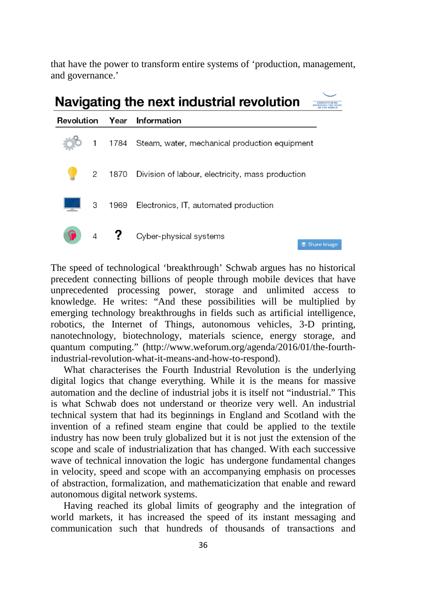that have the power to transform entire systems of 'production, management, and governance.'

| Navigating the next industrial revolution |                |       |                                                       |
|-------------------------------------------|----------------|-------|-------------------------------------------------------|
| Revolution                                |                |       | Year Information                                      |
|                                           |                |       | 1 1784 Steam, water, mechanical production equipment  |
|                                           | $\overline{2}$ |       | 1870 Division of labour, electricity, mass production |
|                                           | З              |       | 1969 Electronics, IT, automated production            |
|                                           |                | $4$ ? | Cyber-physical systems<br><b>Share Image</b>          |

The speed of technological 'breakthrough' Schwab argues has no historical precedent connecting billions of people through mobile devices that have unprecedented processing power, storage and unlimited access to knowledge. He writes: "And these possibilities will be multiplied by emerging technology breakthroughs in fields such as artificial intelligence, robotics, the Internet of Things, autonomous vehicles, 3-D printing, nanotechnology, biotechnology, materials science, energy storage, and quantum computing." [\(http://www.weforum.org/agenda/2016/01/the-fourth](http://www.weforum.org/agenda/2016/01/the-fourth-industrial-revolution-what-it-means-and-how-to-respond)[industrial-revolution-what-it-means-and-how-to-respond\)](http://www.weforum.org/agenda/2016/01/the-fourth-industrial-revolution-what-it-means-and-how-to-respond).

What characterises the Fourth Industrial Revolution is the underlying digital logics that change everything. While it is the means for massive automation and the decline of industrial jobs it is itself not "industrial." This is what Schwab does not understand or theorize very well. An industrial technical system that had its beginnings in England and Scotland with the invention of a refined steam engine that could be applied to the textile industry has now been truly globalized but it is not just the extension of the scope and scale of industrialization that has changed. With each successive wave of technical innovation the logic has undergone fundamental changes in velocity, speed and scope with an accompanying emphasis on processes of abstraction, formalization, and mathematicization that enable and reward autonomous digital network systems.

Having reached its global limits of geography and the integration of world markets, it has increased the speed of its instant messaging and communication such that hundreds of thousands of transactions and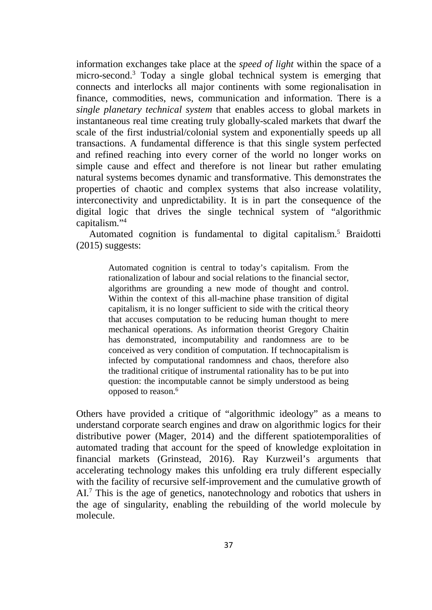information exchanges take place at the *speed of light* within the space of a micro-second.3 Today a single global technical system is emerging that connects and interlocks all major continents with some regionalisation in finance, commodities, news, communication and information. There is a *single planetary technical system* that enables access to global markets in instantaneous real time creating truly globally-scaled markets that dwarf the scale of the first industrial/colonial system and exponentially speeds up all transactions. A fundamental difference is that this single system perfected and refined reaching into every corner of the world no longer works on simple cause and effect and therefore is not linear but rather emulating natural systems becomes dynamic and transformative. This demonstrates the properties of chaotic and complex systems that also increase volatility, interconectivity and unpredictability. It is in part the consequence of the digital logic that drives the single technical system of "algorithmic capitalism."4

Automated cognition is fundamental to digital capitalism.<sup>5</sup> Braidotti  $(2015)$  suggests:

> Automated cognition is central to today's capitalism. From the rationalization of labour and social relations to the financial sector, algorithms are grounding a new mode of thought and control. Within the context of this all-machine phase transition of digital capitalism, it is no longer sufficient to side with the critical theory that accuses computation to be reducing human thought to mere mechanical operations. As information theorist Gregory Chaitin has demonstrated, incomputability and randomness are to be conceived as very condition of computation. If technocapitalism is infected by computational randomness and chaos, therefore also the traditional critique of instrumental rationality has to be put into question: the incomputable cannot be simply understood as being opposed to reason.<sup>6</sup>

Others have provided a critique of "algorithmic ideology" as a means to understand corporate search engines and draw on algorithmic logics for their distributive power (Mager, 2014) and the different spatiotemporalities of automated trading that account for the speed of knowledge exploitation in financial markets (Grinstead, 2016). Ray Kurzweil's arguments that accelerating technology makes this unfolding era truly different especially with the facility of recursive self-improvement and the cumulative growth of AI.<sup>7</sup> This is the age of genetics, nanotechnology and robotics that ushers in the age of singularity, enabling the rebuilding of the world molecule by molecule.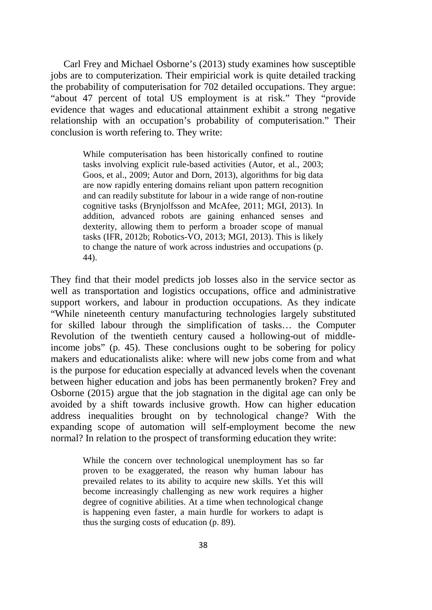Carl Frey and Michael Osborne's (2013) study examines how susceptible jobs are to computerization. Their empiricial work is quite detailed tracking the probability of computerisation for 702 detailed occupations. They argue: "about 47 percent of total US employment is at risk." They "provide evidence that wages and educational attainment exhibit a strong negative relationship with an occupation's probability of computerisation." Their conclusion is worth refering to. They write:

> While computerisation has been historically confined to routine tasks involving explicit rule-based activities (Autor, et al., 2003; Goos, et al., 2009; Autor and Dorn, 2013), algorithms for big data are now rapidly entering domains reliant upon pattern recognition and can readily substitute for labour in a wide range of non-routine cognitive tasks (Brynjolfsson and McAfee, 2011; MGI, 2013). In addition, advanced robots are gaining enhanced senses and dexterity, allowing them to perform a broader scope of manual tasks (IFR, 2012b; Robotics-VO, 2013; MGI, 2013). This is likely to change the nature of work across industries and occupations (p. 44).

They find that their model predicts job losses also in the service sector as well as transportation and logistics occupations, office and administrative support workers, and labour in production occupations. As they indicate "While nineteenth century manufacturing technologies largely substituted for skilled labour through the simplification of tasks… the Computer Revolution of the twentieth century caused a hollowing-out of middleincome jobs" (p. 45). These conclusions ought to be sobering for policy makers and educationalists alike: where will new jobs come from and what is the purpose for education especially at advanced levels when the covenant between higher education and jobs has been permanently broken? Frey and Osborne (2015) argue that the job stagnation in the digital age can only be avoided by a shift towards inclusive growth. How can higher education address inequalities brought on by technological change? With the expanding scope of automation will self-employment become the new normal? In relation to the prospect of transforming education they write:

> While the concern over technological unemployment has so far proven to be exaggerated, the reason why human labour has prevailed relates to its ability to acquire new skills. Yet this will become increasingly challenging as new work requires a higher degree of cognitive abilities. At a time when technological change is happening even faster, a main hurdle for workers to adapt is thus the surging costs of education (p. 89).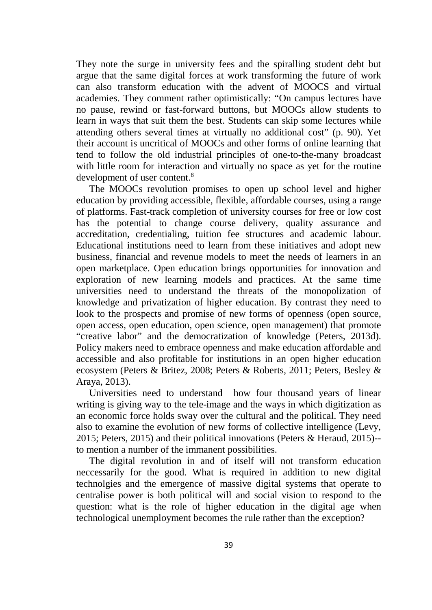They note the surge in university fees and the spiralling student debt but argue that the same digital forces at work transforming the future of work can also transform education with the advent of MOOCS and virtual academies. They comment rather optimistically: "On campus lectures have no pause, rewind or fast-forward buttons, but MOOCs allow students to learn in ways that suit them the best. Students can skip some lectures while attending others several times at virtually no additional cost" (p. 90). Yet their account is uncritical of MOOCs and other forms of online learning that tend to follow the old industrial principles of one-to-the-many broadcast with little room for interaction and virtually no space as yet for the routine development of user content.<sup>8</sup>

The MOOCs revolution promises to open up school level and higher education by providing accessible, flexible, affordable courses, using a range of platforms. Fast-track completion of university courses for free or low cost has the potential to change course delivery, quality assurance and accreditation, credentialing, tuition fee structures and academic labour. Educational institutions need to learn from these initiatives and adopt new business, financial and revenue models to meet the needs of learners in an open marketplace. Open education brings opportunities for innovation and exploration of new learning models and practices. At the same time universities need to understand the threats of the monopolization of knowledge and privatization of higher education. By contrast they need to look to the prospects and promise of new forms of openness (open source, open access, open education, open science, open management) that promote "creative labor" and the democratization of knowledge (Peters, 2013d). Policy makers need to embrace openness and make education affordable and accessible and also profitable for institutions in an open higher education ecosystem (Peters & Britez, 2008; Peters & Roberts, 2011; Peters, Besley & Araya, 2013).

Universities need to understand how four thousand years of linear writing is giving way to the tele-image and the ways in which digitization as an economic force holds sway over the cultural and the political. They need also to examine the evolution of new forms of collective intelligence (Levy, 2015; Peters, 2015) and their political innovations (Peters & Heraud, 2015)- to mention a number of the immanent possibilities.

The digital revolution in and of itself will not transform education neccessarily for the good. What is required in addition to new digital technolgies and the emergence of massive digital systems that operate to centralise power is both political will and social vision to respond to the question: what is the role of higher education in the digital age when technological unemployment becomes the rule rather than the exception?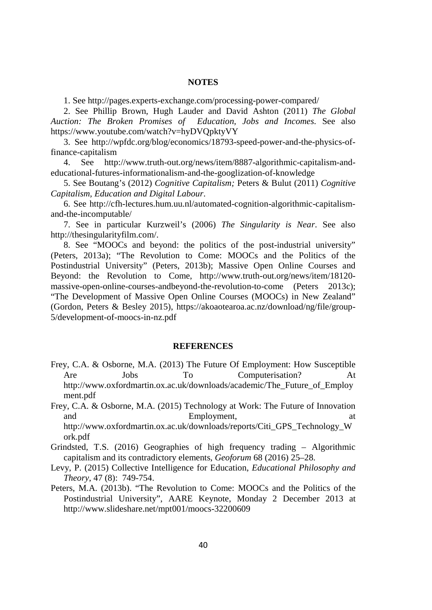#### **NOTES**

1. See<http://pages.experts-exchange.com/processing-power-compared/>

2. See Phillip Brown, Hugh Lauder and David Ashton (2011) *The Global Auction: The Broken Promises of Education, Jobs and Incomes*. See also <https://www.youtube.com/watch?v=hyDVQpktyVY>

3. See [http://wpfdc.org/blog/economics/18793-speed-power-and-the-physics-of](http://wpfdc.org/blog/economics/18793-speed-power-and-the-physics-of-finance-capitalism)[finance-capitalism](http://wpfdc.org/blog/economics/18793-speed-power-and-the-physics-of-finance-capitalism)

4. See [http://www.truth-out.org/news/item/8887-algorithmic-capitalism-and](http://www.truth-out.org/news/item/8887-algorithmic-capitalism-and-educational-futures-informationalism-and-the-googlization-of-knowledge)[educational-futures-informationalism-and-the-googlization-of-knowledge](http://www.truth-out.org/news/item/8887-algorithmic-capitalism-and-educational-futures-informationalism-and-the-googlization-of-knowledge)

5. See Boutang's (2012) *Cognitive Capitalism;* Peters & Bulut (2011) *Cognitive Capitalism, Education and Digital Labour*.

6. See [http://cfh-lectures.hum.uu.nl/automated-cognition-algorithmic-capitalism](http://cfh-lectures.hum.uu.nl/automated-cognition-algorithmic-capitalism-and-the-incomputable/)[and-the-incomputable/](http://cfh-lectures.hum.uu.nl/automated-cognition-algorithmic-capitalism-and-the-incomputable/)

7. See in particular Kurzweil's (2006) *The Singularity is Near*. See also [http://thesingularityfilm.com/.](http://thesingularityfilm.com/)

8. See "MOOCs and beyond: the politics of the post-industrial university" (Peters, 2013a); "The Revolution to Come: MOOCs and the Politics of the Postindustrial University" (Peters, 2013b); Massive Open Online Courses and Beyond: the Revolution to Come, [http://www.truth-out.org/news/item/18120](http://www.truth-out.org/news/item/18120-massive-open-online-courses-andbeyond-the-revolution-to-come) [massive-open-online-courses-andbeyond-the-revolution-to-come](http://www.truth-out.org/news/item/18120-massive-open-online-courses-andbeyond-the-revolution-to-come) (Peters 2013c); "The Development of Massive Open Online Courses (MOOCs) in New Zealand" (Gordon, Peters & Besley 2015), [https://akoaotearoa.ac.nz/download/ng/file/group-](https://akoaotearoa.ac.nz/download/ng/file/group-5/development-of-moocs-in-nz.pdf)[5/development-of-moocs-in-nz.pdf](https://akoaotearoa.ac.nz/download/ng/file/group-5/development-of-moocs-in-nz.pdf)

#### **REFERENCES**

Frey, C.A. & Osborne, M.A. (2013) The Future Of Employment: How Susceptible Are Jobs To Computerisation? At [http://www.oxfordmartin.ox.ac.uk/downloads/academic/The\\_Future\\_of\\_Employ](http://www.oxfordmartin.ox.ac.uk/downloads/academic/The_Future_of_Employment.pdf) [ment.pdf](http://www.oxfordmartin.ox.ac.uk/downloads/academic/The_Future_of_Employment.pdf)

Frey, C.A. & Osborne, M.A. (2015) Technology at Work: The Future of Innovation and Employment, [http://www.oxfordmartin.ox.ac.uk/downloads/reports/Citi\\_GPS\\_Technology\\_W](http://www.oxfordmartin.ox.ac.uk/downloads/reports/Citi_GPS_Technology_Work.pdf) [ork.pdf](http://www.oxfordmartin.ox.ac.uk/downloads/reports/Citi_GPS_Technology_Work.pdf)

- Grindsted, T.S. (2016) Geographies of high frequency trading Algorithmic capitalism and its contradictory elements, *Geoforum* 68 (2016) 25–28.
- Levy, P. (2015) Collective Intelligence for Education, *Educational Philosophy and Theory*, 47 (8): 749-754.
- Peters, M.A. (2013b). "The Revolution to Come: MOOCs and the Politics of the Postindustrial University", AARE Keynote, Monday 2 December 2013 at <http://www.slideshare.net/mpt001/moocs-32200609>